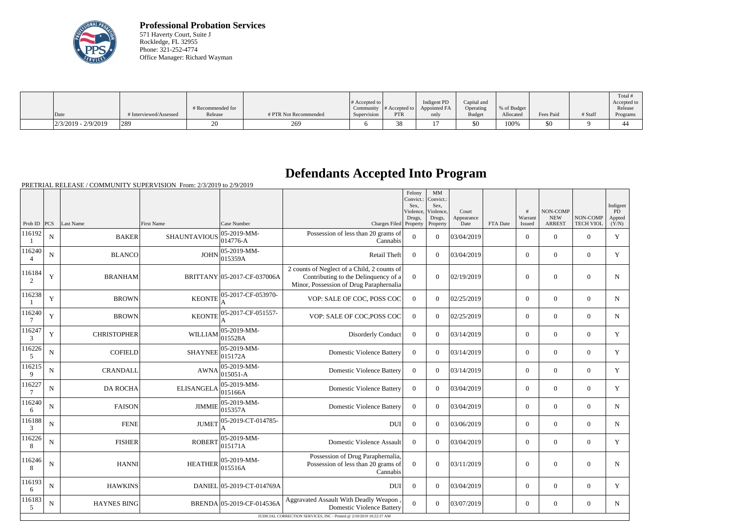

**Professional Probation Services** 571 Haverty Court, Suite J Rockledge, FL 32955 Phone: 321-252-4774 Office Manager: Richard Wayman

|                       |                        | # Recommended for |                       | # Accepted to $\vert$ |            | Indigent PD<br>Community $\ #$ Accepted to $\ $ Appointed FA | Capital and<br>Operating | % of Budget |           |         | Total<br>Accepted to<br>Release |
|-----------------------|------------------------|-------------------|-----------------------|-----------------------|------------|--------------------------------------------------------------|--------------------------|-------------|-----------|---------|---------------------------------|
| Date                  | # Interviewed/Assessed | Release           | # PTR Not Recommended | Supervision           | <b>PTR</b> | only                                                         | <b>Budget</b>            | Allocated   | Fees Paid | # Staff | Programs                        |
| $2/3/2019 - 2/9/2019$ | 289                    |                   | 269                   |                       |            |                                                              | \$0                      | 100%        | \$0       |         | ∸                               |

## **Defendants Accepted Into Program**

PRETRIAL RELEASE / COMMUNITY SUPERVISION From: 2/3/2019 to 2/9/2019

| Prob ID $PCS$             |             | Last Name          | First Name          | Case Number                 |                                                                                                                                | Felony<br>Convict.:<br>Sex,<br>Violence,<br>Drugs, | MM<br>Convict.:<br>Sex,<br>Violence,<br>Drugs, | Court<br>Appearance |                 | #<br>Warrant             | NON-COMP<br><b>NEW</b><br><b>ARREST</b> | NON-COMP<br><b>TECH VIOL</b> | Indigent<br>PD<br>Appted |
|---------------------------|-------------|--------------------|---------------------|-----------------------------|--------------------------------------------------------------------------------------------------------------------------------|----------------------------------------------------|------------------------------------------------|---------------------|-----------------|--------------------------|-----------------------------------------|------------------------------|--------------------------|
| 116192                    | N           | <b>BAKER</b>       | <b>SHAUNTAVIOUS</b> | 05-2019-MM-<br>014776-A     | Charges Filed Property<br>Possession of less than 20 grams of<br>Cannabis                                                      | $\mathbf{0}$                                       | Property<br>$\overline{0}$                     | Date<br>03/04/2019  | <b>FTA</b> Date | Issued<br>$\overline{0}$ | $\mathbf{0}$                            | $\overline{0}$               | (Y/N)<br>Y               |
| 116240                    | N           | <b>BLANCO</b>      | <b>JOHN</b>         | 05-2019-MM-<br>015359A      | Retail Theft                                                                                                                   | $\Omega$                                           | $\Omega$                                       | 03/04/2019          |                 | $\overline{0}$           | $\theta$                                | $\overline{0}$               | Y                        |
| 116184<br>2               | Y           | <b>BRANHAM</b>     |                     | BRITTANY 05-2017-CF-037006A | 2 counts of Neglect of a Child, 2 counts of<br>Contributing to the Delinquency of a<br>Minor, Possession of Drug Paraphernalia | $\overline{0}$                                     | $\theta$                                       | 02/19/2019          |                 | $\mathbf{0}$             | $\mathbf{0}$                            | $\overline{0}$               | N                        |
| 116238                    | Y           | <b>BROWN</b>       | <b>KEONTE</b>       | 05-2017-CF-053970-          | VOP: SALE OF COC, POSS COC                                                                                                     | $\mathbf{0}$                                       | $\overline{0}$                                 | 02/25/2019          |                 | $\overline{0}$           | $\mathbf{0}$                            | $\overline{0}$               | N                        |
| 116240                    | Y           | <b>BROWN</b>       | <b>KEONTE</b>       | 05-2017-CF-051557-          | VOP: SALE OF COC, POSS COC                                                                                                     | $\mathbf{0}$                                       | $\theta$                                       | 02/25/2019          |                 | $\overline{0}$           | $\mathbf{0}$                            | $\overline{0}$               | $\mathbf N$              |
| 116247<br>$\mathfrak{Z}$  | Y           | <b>CHRISTOPHER</b> | <b>WILLIAM</b>      | 05-2019-MM-<br>015528A      | Disorderly Conduct                                                                                                             | $\overline{0}$                                     | $\Omega$                                       | 03/14/2019          |                 | $\overline{0}$           | $\mathbf{0}$                            | $\overline{0}$               | Y                        |
| 116226<br>5               | $\mathbf N$ | <b>COFIELD</b>     | <b>SHAYNEE</b>      | 05-2019-MM-<br>015172A      | <b>Domestic Violence Battery</b>                                                                                               | $\overline{0}$                                     | $\Omega$                                       | 03/14/2019          |                 | $\overline{0}$           | $\mathbf{0}$                            | $\overline{0}$               | Y                        |
| 116215<br>9               | $\mathbf N$ | <b>CRANDALL</b>    | <b>AWNA</b>         | 05-2019-MM-<br>015051-A     | <b>Domestic Violence Battery</b>                                                                                               | $\overline{0}$                                     | $\Omega$                                       | 03/14/2019          |                 | $\overline{0}$           | $\mathbf{0}$                            | $\Omega$                     | Y                        |
| 116227<br>$7\phantom{.0}$ | ${\bf N}$   | <b>DA ROCHA</b>    | <b>ELISANGELA</b>   | 05-2019-MM-<br>015166A      | <b>Domestic Violence Battery</b>                                                                                               | $\overline{0}$                                     | $\Omega$                                       | 03/04/2019          |                 | $\overline{0}$           | $\mathbf{0}$                            | $\overline{0}$               | Y                        |
| 116240<br>6               | $\mathbf N$ | <b>FAISON</b>      | <b>JIMMIE</b>       | 05-2019-MM-<br>015357A      | <b>Domestic Violence Battery</b>                                                                                               | $\overline{0}$                                     | $\Omega$                                       | 03/04/2019          |                 | $\overline{0}$           | $\Omega$                                | $\Omega$                     | $\mathbf N$              |
| 116188<br>3               | N           | <b>FENE</b>        | <b>JUMET</b>        | 05-2019-CT-014785-<br>A     | <b>DUI</b>                                                                                                                     | $\overline{0}$                                     | $\overline{0}$                                 | 03/06/2019          |                 | $\overline{0}$           | $\mathbf{0}$                            | $\overline{0}$               | $\mathbf N$              |
| 116226<br>8               | N           | <b>FISHER</b>      | <b>ROBERT</b>       | 05-2019-MM-<br>015171A      | <b>Domestic Violence Assault</b>                                                                                               | $\overline{0}$                                     | $\theta$                                       | 03/04/2019          |                 | $\overline{0}$           | $\mathbf{0}$                            | $\overline{0}$               | Y                        |
| 116246<br>8               | N           | <b>HANNI</b>       | <b>HEATHER</b>      | 05-2019-MM-<br>015516A      | Possession of Drug Paraphernalia,<br>Possession of less than 20 grams of<br>Cannabis                                           | $\theta$                                           | $\overline{0}$                                 | 03/11/2019          |                 | $\boldsymbol{0}$         | $\mathbf{0}$                            | $\overline{0}$               | N                        |
| 116193<br>6               | ${\bf N}$   | <b>HAWKINS</b>     |                     | DANIEL 05-2019-CT-014769A   | <b>DUI</b>                                                                                                                     | $\Omega$                                           | $\Omega$                                       | 03/04/2019          |                 | $\Omega$                 | $\Omega$                                | $\mathbf{0}$                 | Y                        |
| 116183<br>5               | $\mathbf N$ | <b>HAYNES BING</b> |                     | BRENDA 05-2019-CF-014536A   | Aggravated Assault With Deadly Weapon,<br><b>Domestic Violence Battery</b>                                                     | $\overline{0}$                                     | $\overline{0}$                                 | 03/07/2019          |                 | $\overline{0}$           | $\mathbf{0}$                            | $\overline{0}$               | N                        |
|                           |             |                    |                     |                             | JUDICIAL CORRECTION SERVICES, INC - Printed @ 2/10/2019 10:22:37 AM                                                            |                                                    |                                                |                     |                 |                          |                                         |                              |                          |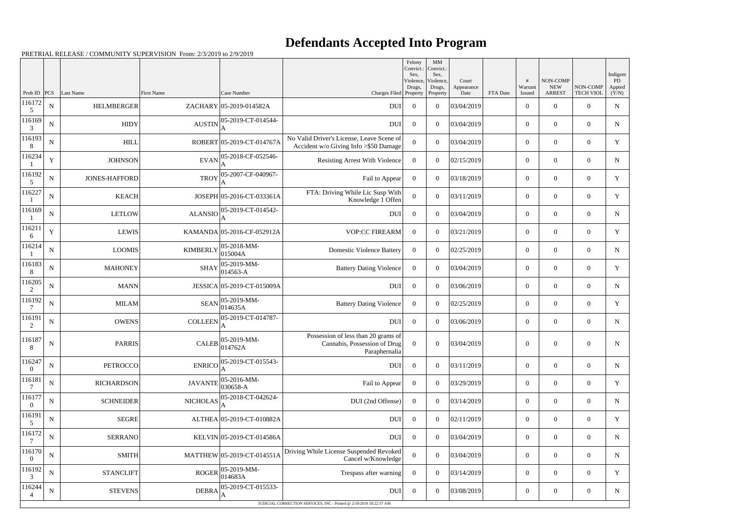## **Defendants Accepted Into Program**

PRETRIAL RELEASE / COMMUNITY SUPERVISION From: 2/3/2019 to 2/9/2019

|                            |             |                      |                 |                            |                                                                                      | Felony<br>Convict.:<br>Sex, | MM<br>Convict.:<br>Sex,         |                             |          |                        |                                          |                              | Indigent              |
|----------------------------|-------------|----------------------|-----------------|----------------------------|--------------------------------------------------------------------------------------|-----------------------------|---------------------------------|-----------------------------|----------|------------------------|------------------------------------------|------------------------------|-----------------------|
| Prob ID                    | PCS         | Last Name            | First Name      | Case Number                | Charges Filed Property                                                               | Violence,<br>Drugs,         | Violence,<br>Drugs,<br>Property | Court<br>Appearance<br>Date | FTA Date | #<br>Warrant<br>Issued | NON-COMP<br>${\rm NEW}$<br><b>ARREST</b> | NON-COMP<br><b>TECH VIOL</b> | PD<br>Appted<br>(Y/N) |
| 116172<br>5                | ${\bf N}$   | <b>HELMBERGER</b>    |                 | ZACHARY 05-2019-014582A    | <b>DUI</b>                                                                           | $\overline{0}$              | $\theta$                        | 03/04/2019                  |          | $\boldsymbol{0}$       | $\overline{0}$                           | $\Omega$                     | $\mathbf N$           |
| 116169<br>3                | $\mathbf N$ | <b>HIDY</b>          | <b>AUSTIN</b>   | 05-2019-CT-014544-         | <b>DUI</b>                                                                           | $\overline{0}$              | $\theta$                        | 03/04/2019                  |          | $\boldsymbol{0}$       | $\overline{0}$                           | $\overline{0}$               | N                     |
| 116193<br>8                | ${\bf N}$   | <b>HILL</b>          |                 | ROBERT 05-2019-CT-014767A  | No Valid Driver's License, Leave Scene of<br>Accident w/o Giving Info >\$50 Damage   | $\theta$                    | $\theta$                        | 03/04/2019                  |          | $\overline{0}$         | $\Omega$                                 | $\theta$                     | Y                     |
| 116234                     | $\mathbf Y$ | <b>JOHNSON</b>       | <b>EVAN</b>     | 05-2018-CF-052546-         | <b>Resisting Arrest With Violence</b>                                                | $\overline{0}$              | $\overline{0}$                  | 02/15/2019                  |          | $\overline{0}$         | $\overline{0}$                           | $\overline{0}$               | N                     |
| 116192<br>5                | ${\bf N}$   | <b>JONES-HAFFORD</b> | <b>TROY</b>     | 05-2007-CF-040967-         | Fail to Appear                                                                       | $\overline{0}$              | $\theta$                        | 03/18/2019                  |          | $\boldsymbol{0}$       | $\overline{0}$                           | $\theta$                     | Y                     |
| 116227                     | $\mathbf N$ | <b>KEACH</b>         |                 | JOSEPH 05-2016-CT-033361A  | FTA: Driving While Lic Susp With<br>Knowledge 1 Offen                                | $\Omega$                    | $\theta$                        | 03/11/2019                  |          | $\boldsymbol{0}$       | $\overline{0}$                           | $\Omega$                     | Y                     |
| 116169                     | ${\bf N}$   | <b>LETLOW</b>        | <b>ALANSIO</b>  | 05-2019-CT-014542-<br>A    | <b>DUI</b>                                                                           | $\overline{0}$              | $\theta$                        | 03/04/2019                  |          | $\overline{0}$         | $\Omega$                                 | $\theta$                     | N                     |
| 116211<br>6                | $\mathbf Y$ | <b>LEWIS</b>         |                 | KAMANDA 05-2016-CF-052912A | <b>VOP:CC FIREARM</b>                                                                | $\Omega$                    | $\overline{0}$                  | 03/21/2019                  |          | $\overline{0}$         | $\overline{0}$                           | $\overline{0}$               | Y                     |
| 116214                     | ${\bf N}$   | <b>LOOMIS</b>        | <b>KIMBERLY</b> | 05-2018-MM-<br>015004A     | <b>Domestic Violence Battery</b>                                                     | $\overline{0}$              | $\theta$                        | 02/25/2019                  |          | $\boldsymbol{0}$       | $\overline{0}$                           | $\Omega$                     | N                     |
| 116183<br>8                | $\mathbf N$ | <b>MAHONEY</b>       | <b>SHAY</b>     | 05-2019-MM-<br>014563-A    | <b>Battery Dating Violence</b>                                                       | $\overline{0}$              | $\theta$                        | 03/04/2019                  |          | $\boldsymbol{0}$       | $\overline{0}$                           | $\Omega$                     | Y                     |
| 116205<br>2                | ${\bf N}$   | <b>MANN</b>          |                 | JESSICA 05-2019-CT-015009A | <b>DUI</b>                                                                           | $\overline{0}$              | $\theta$                        | 03/06/2019                  |          | $\overline{0}$         | $\Omega$                                 | $\theta$                     | N                     |
| 116192                     | $\mathbf N$ | <b>MILAM</b>         | <b>SEAN</b>     | 05-2019-MM-<br>014635A     | <b>Battery Dating Violence</b>                                                       | $\Omega$                    | $\overline{0}$                  | 02/25/2019                  |          | $\overline{0}$         | $\overline{0}$                           | $\overline{0}$               | Y                     |
| 116191<br>2                | ${\bf N}$   | <b>OWENS</b>         | <b>COLLEEN</b>  | 05-2019-CT-014787-<br>А    | <b>DUI</b>                                                                           | $\overline{0}$              | $\theta$                        | 03/06/2019                  |          | $\overline{0}$         | $\overline{0}$                           | $\Omega$                     | N                     |
| 116187<br>8                | $\mathbf N$ | <b>PARRIS</b>        | <b>CALEB</b>    | 05-2019-MM-<br>014762A     | Possession of less than 20 grams of<br>Cannabis, Possession of Drug<br>Paraphernalia | $\overline{0}$              | $\theta$                        | 03/04/2019                  |          | $\boldsymbol{0}$       | $\overline{0}$                           | $\theta$                     | N                     |
| 116247<br>$\theta$         | ${\bf N}$   | <b>PETROCCO</b>      | <b>ENRICO</b>   | 05-2019-CT-015543-         | <b>DUI</b>                                                                           | $\overline{0}$              | $\overline{0}$                  | 03/11/2019                  |          | $\boldsymbol{0}$       | $\overline{0}$                           | $\mathbf{0}$                 | N                     |
| 116181                     | ${\bf N}$   | <b>RICHARDSON</b>    | <b>JAVANTE</b>  | 05-2016-MM-<br>030658-A    | Fail to Appear                                                                       | $\overline{0}$              | $\overline{0}$                  | 03/29/2019                  |          | $\boldsymbol{0}$       | $\overline{0}$                           | $\overline{0}$               | Y                     |
| 116177<br>$\boldsymbol{0}$ | ${\bf N}$   | <b>SCHNEIDER</b>     | <b>NICHOLAS</b> | 05-2018-CT-042624-         | DUI (2nd Offense)                                                                    | $\overline{0}$              | $\overline{0}$                  | 03/14/2019                  |          | $\boldsymbol{0}$       | $\overline{0}$                           | $\overline{0}$               | N                     |
| 116191<br>5                | ${\bf N}$   | <b>SEGRE</b>         |                 | ALTHEA 05-2019-CT-010882A  | DUI                                                                                  | $\overline{0}$              | $\overline{0}$                  | 02/11/2019                  |          | $\overline{0}$         | $\overline{0}$                           | $\overline{0}$               | Y                     |
| 116172                     | ${\bf N}$   | <b>SERRANO</b>       |                 | KELVIN 05-2019-CT-014586A  | <b>DUI</b>                                                                           | $\overline{0}$              | $\overline{0}$                  | 03/04/2019                  |          | $\boldsymbol{0}$       | $\overline{0}$                           | $\overline{0}$               | N                     |
| 116170<br>$\theta$         | $\mathbf N$ | <b>SMITH</b>         |                 | MATTHEW 05-2019-CT-014551A | Driving While License Suspended Revoked<br>Cancel w/Knowledge                        | $\overline{0}$              | $\overline{0}$                  | 03/04/2019                  |          | $\boldsymbol{0}$       | $\overline{0}$                           | $\overline{0}$               | $\mathbf N$           |
| 116192<br>3                | ${\bf N}$   | <b>STANCLIFT</b>     | <b>ROGER</b>    | 05-2019-MM-<br>014683A     | Trespass after warning                                                               | $\boldsymbol{0}$            | $\overline{0}$                  | 03/14/2019                  |          | $\boldsymbol{0}$       | $\overline{0}$                           | $\overline{0}$               | Y                     |
| 116244                     | $\mathbf N$ | <b>STEVENS</b>       | <b>DEBRA</b>    | 05-2019-CT-015533-         | <b>DUI</b>                                                                           | $\overline{0}$              | $\overline{0}$                  | 03/08/2019                  |          | $\boldsymbol{0}$       | $\overline{0}$                           | $\overline{0}$               | $\mathbf N$           |
|                            |             |                      |                 |                            | JUDICIAL CORRECTION SERVICES, INC - Printed @ 2/10/2019 10:22:37 AM                  |                             |                                 |                             |          |                        |                                          |                              |                       |